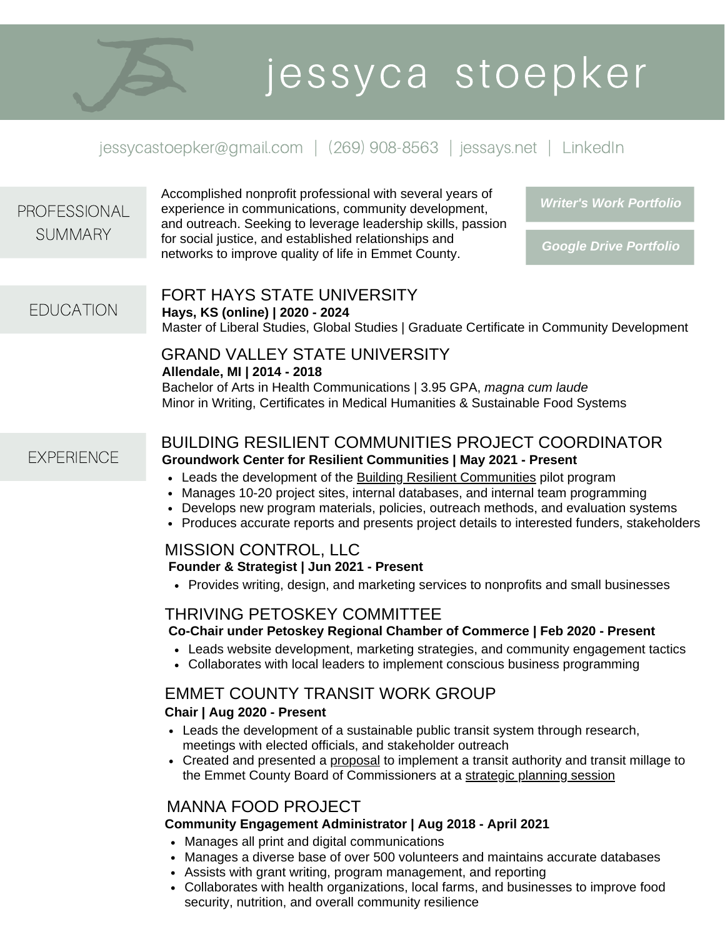# jessyca stoepker

# jessycastoepker@gmail.com | (269) 908-8563 | [jessays.net](https://www.jessays.net/) | [LinkedIn](https://www.linkedin.com/in/jessyca-stoepker)

| <b>PROFESSIONAL</b> | Accomplished nonprofit professional with several years of<br>experience in communications, community development,<br>and outreach. Seeking to leverage leadership skills, passion                                                                                                                                                                                                                                                                                                                                                                                                                                                                                                                                                                                                                                                                                                                                                                                                                                                                                                                                                                                                      | <b>Writer's Work Portfolio</b> |
|---------------------|----------------------------------------------------------------------------------------------------------------------------------------------------------------------------------------------------------------------------------------------------------------------------------------------------------------------------------------------------------------------------------------------------------------------------------------------------------------------------------------------------------------------------------------------------------------------------------------------------------------------------------------------------------------------------------------------------------------------------------------------------------------------------------------------------------------------------------------------------------------------------------------------------------------------------------------------------------------------------------------------------------------------------------------------------------------------------------------------------------------------------------------------------------------------------------------|--------------------------------|
| <b>SUMMARY</b>      | for social justice, and established relationships and<br>networks to improve quality of life in Emmet County.                                                                                                                                                                                                                                                                                                                                                                                                                                                                                                                                                                                                                                                                                                                                                                                                                                                                                                                                                                                                                                                                          | <b>Google Drive Portfolio</b>  |
|                     | FORT HAYS STATE UNIVERSITY                                                                                                                                                                                                                                                                                                                                                                                                                                                                                                                                                                                                                                                                                                                                                                                                                                                                                                                                                                                                                                                                                                                                                             |                                |
| <b>EDUCATION</b>    | Hays, KS (online)   2020 - 2024<br>Master of Liberal Studies, Global Studies   Graduate Certificate in Community Development                                                                                                                                                                                                                                                                                                                                                                                                                                                                                                                                                                                                                                                                                                                                                                                                                                                                                                                                                                                                                                                           |                                |
|                     | <b>GRAND VALLEY STATE UNIVERSITY</b>                                                                                                                                                                                                                                                                                                                                                                                                                                                                                                                                                                                                                                                                                                                                                                                                                                                                                                                                                                                                                                                                                                                                                   |                                |
|                     | Allendale, MI   2014 - 2018<br>Bachelor of Arts in Health Communications   3.95 GPA, magna cum laude<br>Minor in Writing, Certificates in Medical Humanities & Sustainable Food Systems                                                                                                                                                                                                                                                                                                                                                                                                                                                                                                                                                                                                                                                                                                                                                                                                                                                                                                                                                                                                |                                |
| <b>EXPERIENCE</b>   | <b>BUILDING RESILIENT COMMUNITIES PROJECT COORDINATOR</b><br><b>Groundwork Center for Resilient Communities   May 2021 - Present</b><br>• Leads the development of the Building Resilient Communities pilot program<br>Manages 10-20 project sites, internal databases, and internal team programming<br>• Develops new program materials, policies, outreach methods, and evaluation systems<br>• Produces accurate reports and presents project details to interested funders, stakeholders<br><b>MISSION CONTROL, LLC</b><br>Founder & Strategist   Jun 2021 - Present<br>• Provides writing, design, and marketing services to nonprofits and small businesses<br><b>THRIVING PETOSKEY COMMITTEE</b><br>Co-Chair under Petoskey Regional Chamber of Commerce   Feb 2020 - Present<br>• Leads website development, marketing strategies, and community engagement tactics<br>• Collaborates with local leaders to implement conscious business programming<br><b>EMMET COUNTY TRANSIT WORK GROUP</b><br>Chair   Aug 2020 - Present<br>• Leads the development of a sustainable public transit system through research,<br>meetings with elected officials, and stakeholder outreach |                                |
|                     |                                                                                                                                                                                                                                                                                                                                                                                                                                                                                                                                                                                                                                                                                                                                                                                                                                                                                                                                                                                                                                                                                                                                                                                        |                                |
|                     |                                                                                                                                                                                                                                                                                                                                                                                                                                                                                                                                                                                                                                                                                                                                                                                                                                                                                                                                                                                                                                                                                                                                                                                        |                                |
|                     |                                                                                                                                                                                                                                                                                                                                                                                                                                                                                                                                                                                                                                                                                                                                                                                                                                                                                                                                                                                                                                                                                                                                                                                        |                                |
|                     |                                                                                                                                                                                                                                                                                                                                                                                                                                                                                                                                                                                                                                                                                                                                                                                                                                                                                                                                                                                                                                                                                                                                                                                        |                                |
|                     |                                                                                                                                                                                                                                                                                                                                                                                                                                                                                                                                                                                                                                                                                                                                                                                                                                                                                                                                                                                                                                                                                                                                                                                        |                                |
|                     | • Created and presented a proposal to implement a transit authority and transit millage to<br>the Emmet County Board of Commissioners at a strategic planning session                                                                                                                                                                                                                                                                                                                                                                                                                                                                                                                                                                                                                                                                                                                                                                                                                                                                                                                                                                                                                  |                                |
|                     | <b>MANNA FOOD PROJECT</b>                                                                                                                                                                                                                                                                                                                                                                                                                                                                                                                                                                                                                                                                                                                                                                                                                                                                                                                                                                                                                                                                                                                                                              |                                |
|                     | Community Engagement Administrator   Aug 2018 - April 2021<br>Manages all print and digital communications<br>Manages a diverse base of over 500 volunteers and maintains accurate databases                                                                                                                                                                                                                                                                                                                                                                                                                                                                                                                                                                                                                                                                                                                                                                                                                                                                                                                                                                                           |                                |
|                     |                                                                                                                                                                                                                                                                                                                                                                                                                                                                                                                                                                                                                                                                                                                                                                                                                                                                                                                                                                                                                                                                                                                                                                                        |                                |
|                     | • Assists with grant writing, program management, and reporting<br>• Collaborates with health organizations, local farms, and businesses to improve food<br>security, nutrition, and overall community resilience                                                                                                                                                                                                                                                                                                                                                                                                                                                                                                                                                                                                                                                                                                                                                                                                                                                                                                                                                                      |                                |